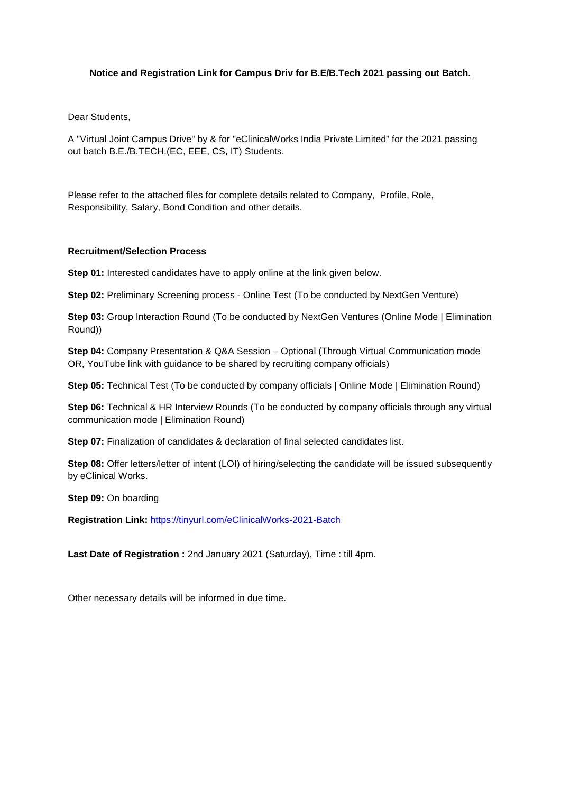## **Notice and Registration Link for Campus Driv for B.E/B.Tech 2021 passing out Batch.**

Dear Students,

A "Virtual Joint Campus Drive" by & for "eClinicalWorks India Private Limited" for the 2021 passing out batch B.E./B.TECH.(EC, EEE, CS, IT) Students.

Please refer to the attached files for complete details related to Company, Profile, Role, Responsibility, Salary, Bond Condition and other details.

## **Recruitment/Selection Process**

**Step 01:** Interested candidates have to apply online at the link given below.

**Step 02:** Preliminary Screening process - Online Test (To be conducted by NextGen Venture)

**Step 03:** Group Interaction Round (To be conducted by NextGen Ventures (Online Mode | Elimination Round))

**Step 04:** Company Presentation & Q&A Session – Optional (Through Virtual Communication mode OR, YouTube link with guidance to be shared by recruiting company officials)

**Step 05:** Technical Test (To be conducted by company officials | Online Mode | Elimination Round)

**Step 06:** Technical & HR Interview Rounds (To be conducted by company officials through any virtual communication mode | Elimination Round)

**Step 07:** Finalization of candidates & declaration of final selected candidates list.

**Step 08:** Offer letters/letter of intent (LOI) of hiring/selecting the candidate will be issued subsequently by eClinical Works.

**Step 09:** On boarding

**Registration Link:** https://tinyurl.com/eClinicalWorks-2021-Batch

**Last Date of Registration :** 2nd January 2021 (Saturday), Time : till 4pm.

Other necessary details will be informed in due time.